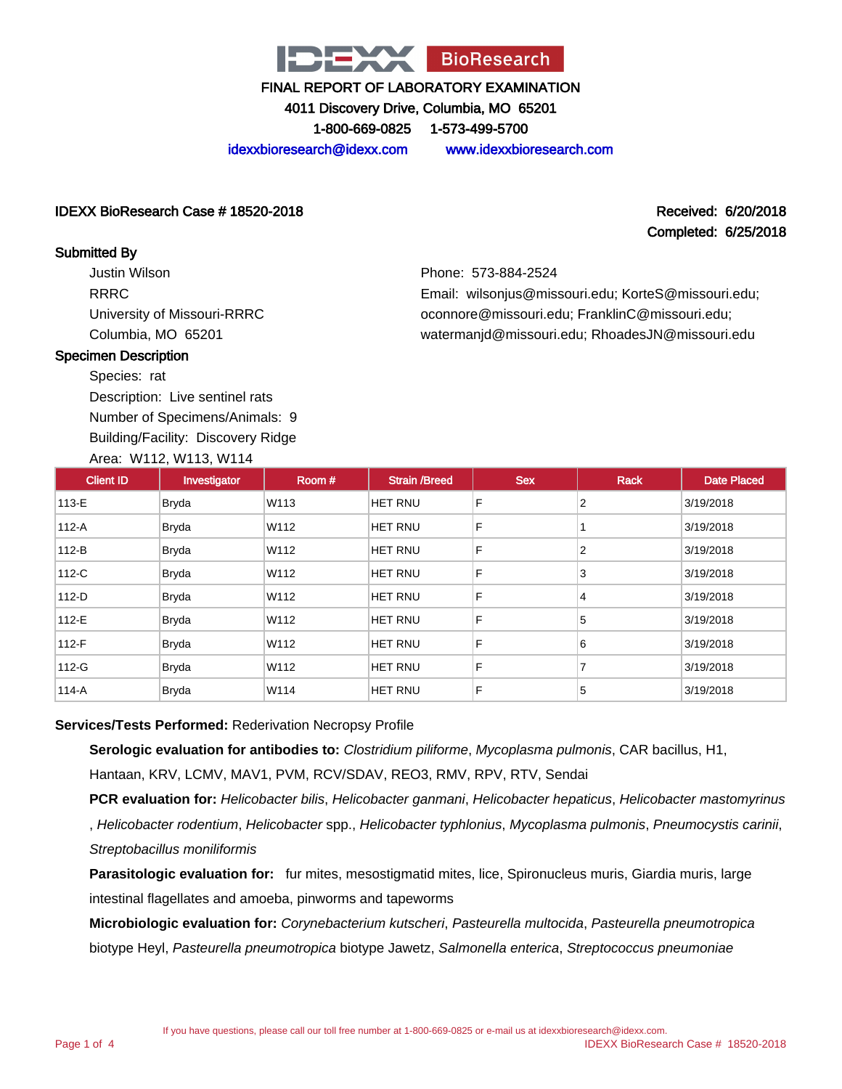

4011 Discovery Drive, Columbia, MO 65201

1-800-669-0825 1-573-499-5700

idexxbioresearch@idexx.com www.idexxbioresearch.com

#### IDEXX BioResearch Case # 18520-2018 Received: 6/20/2018

# Completed: 6/25/2018

#### Submitted By

Justin Wilson RRRC University of Missouri-RRRC Columbia, MO 65201

Phone: 573-884-2524 Email: wilsonjus@missouri.edu; KorteS@missouri.edu; oconnore@missouri.edu; FranklinC@missouri.edu; watermanjd@missouri.edu; RhoadesJN@missouri.edu

#### Specimen Description

Species: rat

Description: Live sentinel rats Number of Specimens/Animals: 9

Building/Facility: Discovery Ridge

#### Area: W112, W113, W114

| <b>Client ID</b> | Investigator | Room# | <b>Strain /Breed</b> | <b>Sex</b> | <b>Rack</b>    | <b>Date Placed</b> |
|------------------|--------------|-------|----------------------|------------|----------------|--------------------|
| 113-E            | <b>Bryda</b> | W113  | <b>HET RNU</b>       | F          | 2              | 3/19/2018          |
| 112-A            | Bryda        | W112  | <b>HET RNU</b>       | F          |                | 3/19/2018          |
| $112-B$          | Bryda        | W112  | <b>HET RNU</b>       | F          | 2              | 3/19/2018          |
| 112-C            | <b>Bryda</b> | W112  | <b>HET RNU</b>       | F          | 3              | 3/19/2018          |
| 112-D            | <b>Bryda</b> | W112  | <b>HET RNU</b>       | F          | 4              | 3/19/2018          |
| 112-E            | Bryda        | W112  | <b>HET RNU</b>       | F          | 5              | 3/19/2018          |
| 112-F            | <b>Bryda</b> | W112  | <b>HET RNU</b>       | F          | 6              | 3/19/2018          |
| 112-G            | Bryda        | W112  | HET RNU              | F          | $\overline{7}$ | 3/19/2018          |
| $114-A$          | <b>Bryda</b> | W114  | HET RNU              | F          | 5              | 3/19/2018          |

#### **Services/Tests Performed:** Rederivation Necropsy Profile

**Serologic evaluation for antibodies to:** Clostridium piliforme, Mycoplasma pulmonis, CAR bacillus, H1, Hantaan, KRV, LCMV, MAV1, PVM, RCV/SDAV, REO3, RMV, RPV, RTV, Sendai

**PCR evaluation for:** Helicobacter bilis, Helicobacter ganmani, Helicobacter hepaticus, Helicobacter mastomyrinus , Helicobacter rodentium, Helicobacter spp., Helicobacter typhlonius, Mycoplasma pulmonis, Pneumocystis carinii, Streptobacillus moniliformis

**Parasitologic evaluation for:** fur mites, mesostigmatid mites, lice, Spironucleus muris, Giardia muris, large intestinal flagellates and amoeba, pinworms and tapeworms

**Microbiologic evaluation for:** Corynebacterium kutscheri, Pasteurella multocida, Pasteurella pneumotropica biotype Heyl, Pasteurella pneumotropica biotype Jawetz, Salmonella enterica, Streptococcus pneumoniae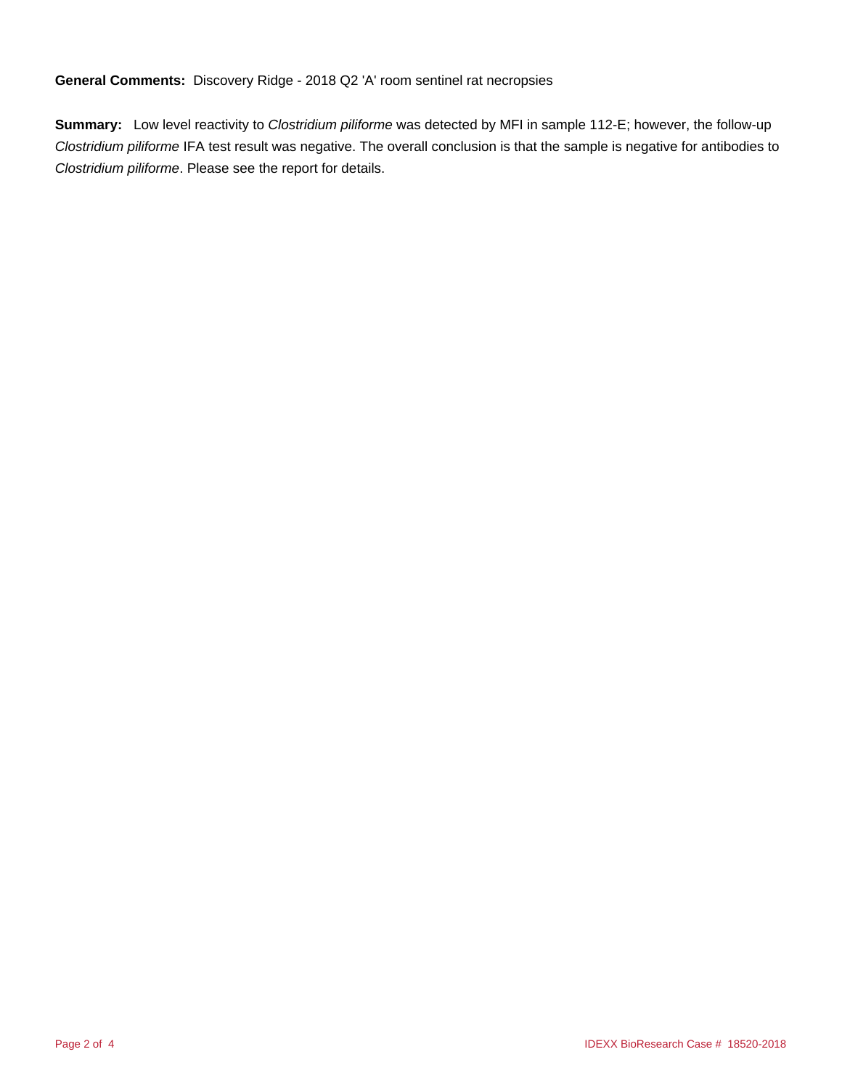**General Comments:** Discovery Ridge - 2018 Q2 'A' room sentinel rat necropsies

**Summary:** Low level reactivity to Clostridium piliforme was detected by MFI in sample 112-E; however, the follow-up Clostridium piliforme IFA test result was negative. The overall conclusion is that the sample is negative for antibodies to Clostridium piliforme. Please see the report for details.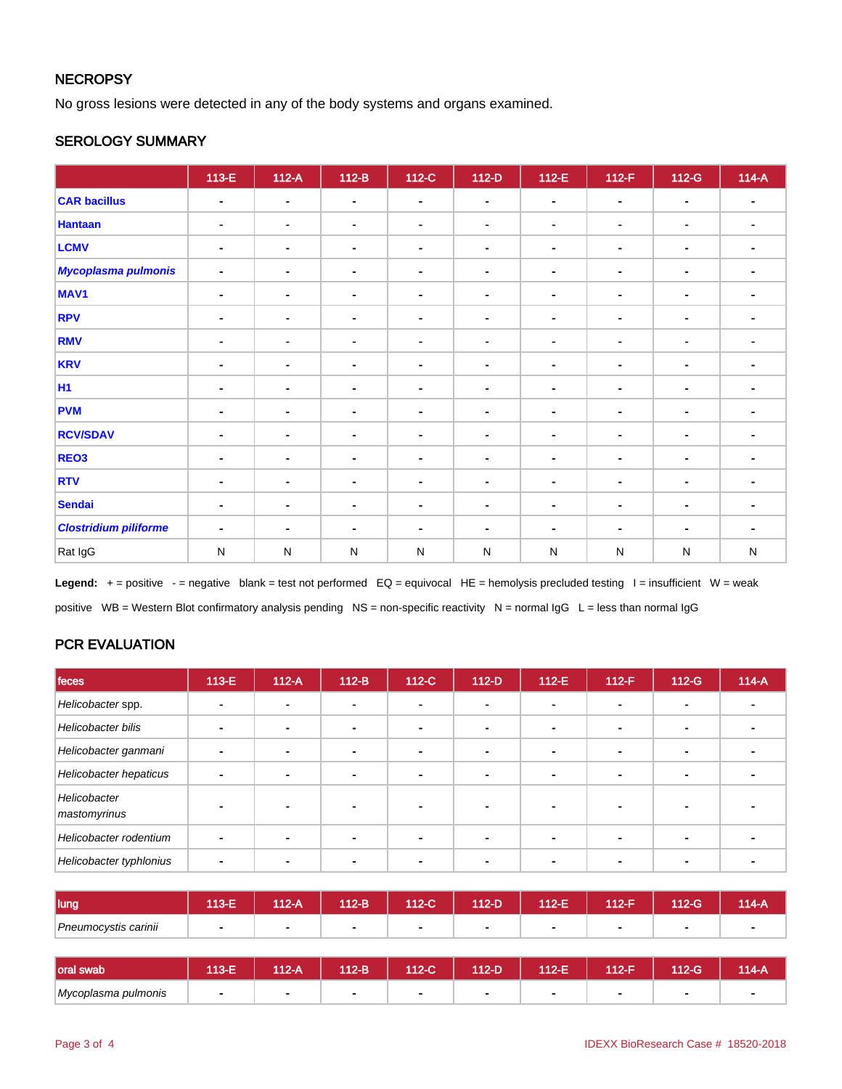## **NECROPSY**

No gross lesions were detected in any of the body systems and organs examined.

## SEROLOGY SUMMARY

|                              | $113-E$        | $112-A$        | $112-B$        | 112-C          | $112-D$        | $112-E$        | $112-F$        | 112-G          | $114-A$        |
|------------------------------|----------------|----------------|----------------|----------------|----------------|----------------|----------------|----------------|----------------|
| <b>CAR bacillus</b>          | $\blacksquare$ | $\blacksquare$ | $\blacksquare$ | $\blacksquare$ | $\blacksquare$ | $\blacksquare$ | $\blacksquare$ | $\blacksquare$ | $\blacksquare$ |
| <b>Hantaan</b>               | $\blacksquare$ | $\blacksquare$ | $\blacksquare$ | $\blacksquare$ | $\blacksquare$ | $\blacksquare$ | $\blacksquare$ | $\blacksquare$ | $\blacksquare$ |
| <b>LCMV</b>                  | $\blacksquare$ | $\blacksquare$ | $\blacksquare$ | $\blacksquare$ | $\blacksquare$ |                | $\blacksquare$ | $\blacksquare$ | $\blacksquare$ |
| <b>Mycoplasma pulmonis</b>   | $\blacksquare$ | $\blacksquare$ | $\blacksquare$ | $\blacksquare$ | $\blacksquare$ | ÷.             | $\blacksquare$ | $\blacksquare$ |                |
| MAV <sub>1</sub>             | $\blacksquare$ | $\blacksquare$ | $\blacksquare$ | $\blacksquare$ | $\blacksquare$ | ۰              | $\blacksquare$ | $\blacksquare$ | ۰.             |
| <b>RPV</b>                   | $\blacksquare$ | $\sim$         | $\blacksquare$ | $\blacksquare$ | $\blacksquare$ | $\blacksquare$ | $\blacksquare$ | $\blacksquare$ | $\blacksquare$ |
| <b>RMV</b>                   | $\blacksquare$ | $\blacksquare$ | $\blacksquare$ | $\blacksquare$ |                | $\blacksquare$ | $\sim$         | $\blacksquare$ | ۰.             |
| <b>KRV</b>                   | $\blacksquare$ | ٠              | $\blacksquare$ | $\blacksquare$ | $\blacksquare$ | ۰              | $\blacksquare$ | ۰              | ۰              |
| <b>H1</b>                    | $\blacksquare$ | $\blacksquare$ | $\blacksquare$ | $\blacksquare$ | $\blacksquare$ |                | $\blacksquare$ | $\blacksquare$ |                |
| <b>PVM</b>                   | $\blacksquare$ | $\sim$         | $\blacksquare$ | $\blacksquare$ | $\blacksquare$ | $\blacksquare$ | $\sim$         | $\blacksquare$ | $\blacksquare$ |
| <b>RCV/SDAV</b>              | $\blacksquare$ | $\sim$         | $\blacksquare$ | $\blacksquare$ | $\blacksquare$ | ٠              | $\blacksquare$ | $\blacksquare$ | ٠              |
| REO3                         | $\blacksquare$ | $\blacksquare$ | $\blacksquare$ | $\blacksquare$ | $\blacksquare$ | ۰              | $\blacksquare$ | ۰              |                |
| <b>RTV</b>                   | $\blacksquare$ | $\sim$         | $\blacksquare$ | $\blacksquare$ | $\blacksquare$ | $\blacksquare$ | $\blacksquare$ | $\blacksquare$ | $\sim$         |
| <b>Sendai</b>                | $\blacksquare$ | ٠              | $\blacksquare$ | $\blacksquare$ | $\blacksquare$ | ٠              | $\blacksquare$ | $\blacksquare$ | ۰              |
| <b>Clostridium piliforme</b> | $\blacksquare$ | $\blacksquare$ | $\blacksquare$ | $\blacksquare$ | $\blacksquare$ | $\blacksquare$ | ٠              |                | $\blacksquare$ |
| Rat IgG                      | ${\sf N}$      | ${\sf N}$      | N              | ${\sf N}$      | N              | N              | N              | ${\sf N}$      | ${\sf N}$      |

Legend: + = positive - = negative blank = test not performed EQ = equivocal HE = hemolysis precluded testing I = insufficient W = weak positive WB = Western Blot confirmatory analysis pending NS = non-specific reactivity N = normal IgG L = less than normal IgG

## PCR EVALUATION

| feces                        | $113-E$ | $112-A$ | $112-B$        | 112-C                    | $112-D$ | 112-E | $112-F$ | $112-G$                  | $114-A$ |
|------------------------------|---------|---------|----------------|--------------------------|---------|-------|---------|--------------------------|---------|
| Helicobacter spp.            |         |         | $\overline{a}$ | $\blacksquare$           |         | ۰.    |         | $\blacksquare$           |         |
| Helicobacter bilis           |         |         |                | $\mathbf{r}$             |         |       |         | $\overline{\phantom{a}}$ |         |
| Helicobacter ganmani         | -       |         |                | $\blacksquare$           |         | ۰.    |         |                          |         |
| Helicobacter hepaticus       |         |         |                | $\overline{\phantom{0}}$ |         |       |         | -                        |         |
| Helicobacter<br>mastomyrinus |         |         |                |                          |         |       |         |                          |         |
| Helicobacter rodentium       |         |         |                | $\overline{\phantom{a}}$ |         |       |         | $\overline{\phantom{a}}$ |         |
| Helicobacter typhlonius      |         |         |                |                          |         |       |         |                          |         |

| lung                 | 40E<br>JJ-L | $12-A$ | 112-B          | 112-C | 112-D | 112-E | $112 - F$ | $112-G$ | 114-A |
|----------------------|-------------|--------|----------------|-------|-------|-------|-----------|---------|-------|
| Pneumocystis carinii |             |        | $\blacksquare$ |       |       |       |           |         |       |

| Ioral swab          | 113-E | 112-A | $112-B$ | 112-C' | 112-D | 112-E | 112-F | $12-G$ | 114-A |
|---------------------|-------|-------|---------|--------|-------|-------|-------|--------|-------|
| Mycoplasma pulmonis |       |       |         |        |       |       |       |        |       |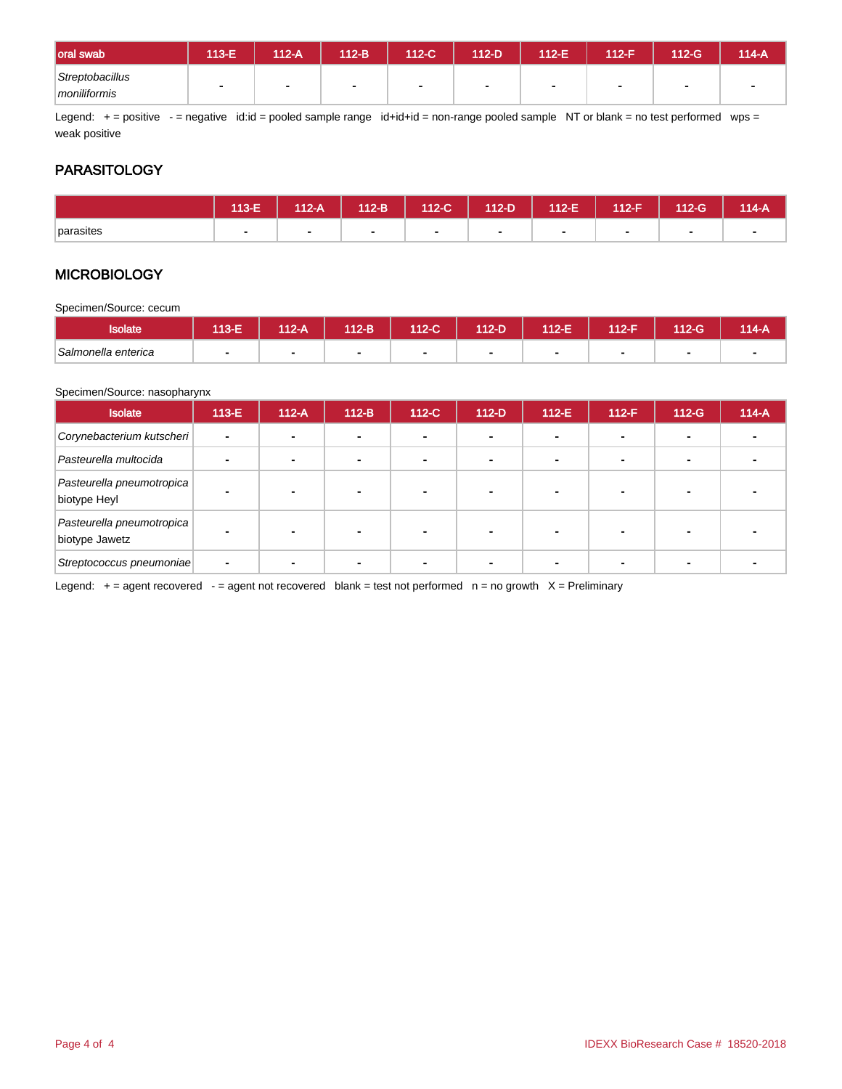| oral swab                       | 113-E | 112-A | 112-B        | 112-C | 112-D | 112-E | $-112-F$ | $112-G$ | 114-A |
|---------------------------------|-------|-------|--------------|-------|-------|-------|----------|---------|-------|
| Streptobacillus<br>moniliformis |       |       | $\mathbf{r}$ | -     |       |       |          |         |       |

Legend: + = positive - = negative id:id = pooled sample range id+id+id = non-range pooled sample NT or blank = no test performed wps = weak positive

## **PARASITOLOGY**

|           | 113-E | $112-A$ | $112-B$                  | 112-C | $112-D$ | $112-E$ | 112-F | $112-G$ | $114-A$ |
|-----------|-------|---------|--------------------------|-------|---------|---------|-------|---------|---------|
| parasites |       |         | $\overline{\phantom{0}}$ |       |         |         |       |         |         |

## **MICROBIOLOGY**

Specimen/Source: cecum

| <b>Isolate</b>      | 113-E | $112-A$ | 112-B | 112-C | $112-D$ | 112-E | 112-F | 12-G | 114-A |
|---------------------|-------|---------|-------|-------|---------|-------|-------|------|-------|
| Salmonella enterica |       |         |       |       |         |       |       |      |       |

#### Specimen/Source: nasopharynx

| <b>Isolate</b>                              | $113-E$        | $112-A$ | $112-B$ | $112-C$ | $112-D$ | $112-E$ | $112-F$ | $112-G$ | $114-A$ |
|---------------------------------------------|----------------|---------|---------|---------|---------|---------|---------|---------|---------|
| Corynebacterium kutscheri                   | $\blacksquare$ |         |         |         |         |         |         |         |         |
| Pasteurella multocida                       |                |         |         |         |         |         |         |         |         |
| Pasteurella pneumotropica<br>biotype Heyl   |                |         |         |         |         |         |         |         |         |
| Pasteurella pneumotropica<br>biotype Jawetz |                | -       |         |         |         |         |         |         |         |
| Streptococcus pneumoniae                    |                |         |         |         |         |         |         |         |         |

Legend:  $+=$  agent recovered - = agent not recovered blank = test not performed  $n =$  no growth  $X =$  Preliminary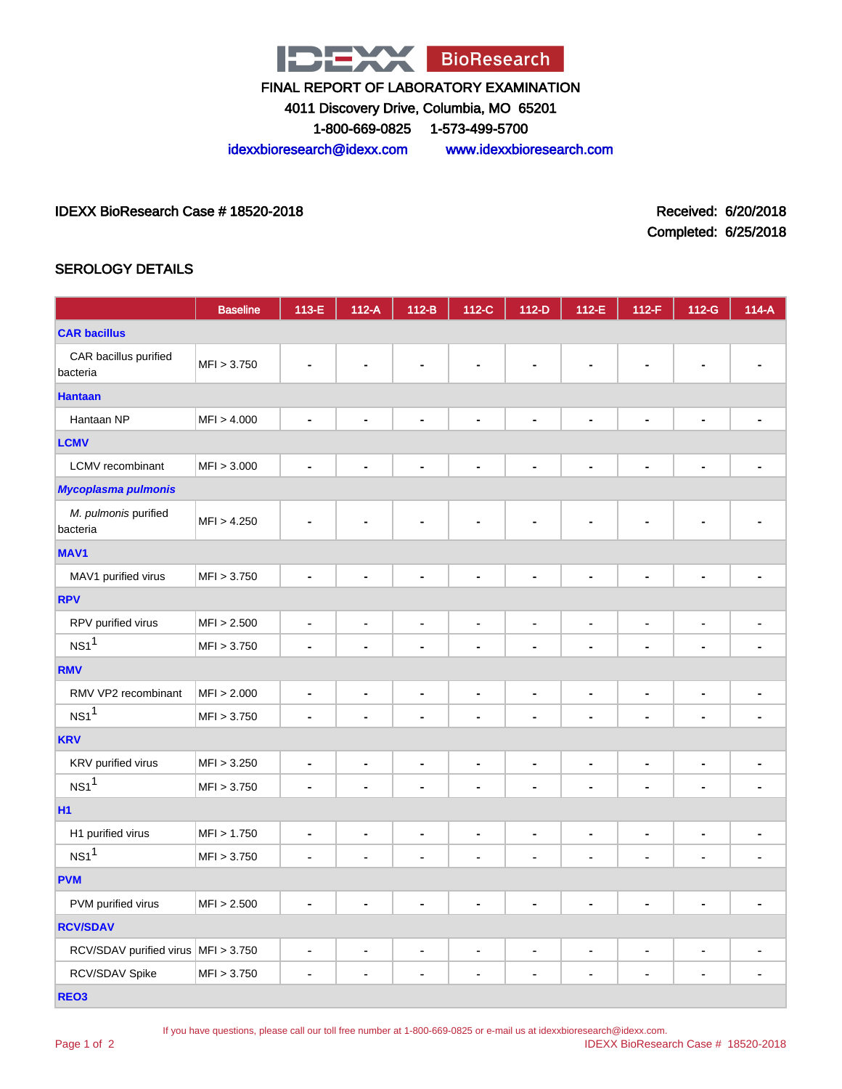

4011 Discovery Drive, Columbia, MO 65201

1-800-669-0825 1-573-499-5700

idexxbioresearch@idexx.com www.idexxbioresearch.com

IDEXX BioResearch Case # 18520-2018 Received: 6/20/2018

Completed: 6/25/2018

## SEROLOGY DETAILS

|                                     | <b>Baseline</b> | 113-E                        | $112-A$                  | $112-B$                      | $112-C$                      | $112-D$                      | 112-E                        | $112-F$                      | 112-G                        | $114-A$                      |
|-------------------------------------|-----------------|------------------------------|--------------------------|------------------------------|------------------------------|------------------------------|------------------------------|------------------------------|------------------------------|------------------------------|
| <b>CAR bacillus</b>                 |                 |                              |                          |                              |                              |                              |                              |                              |                              |                              |
| CAR bacillus purified<br>bacteria   | MFI > 3.750     |                              |                          |                              |                              |                              |                              |                              |                              |                              |
| <b>Hantaan</b>                      |                 |                              |                          |                              |                              |                              |                              |                              |                              |                              |
| Hantaan NP                          | MFI > 4.000     | ä,                           | $\blacksquare$           | ä,                           | $\blacksquare$               | $\blacksquare$               | $\blacksquare$               | Ē.                           | $\blacksquare$               |                              |
| <b>LCMV</b>                         |                 |                              |                          |                              |                              |                              |                              |                              |                              |                              |
| LCMV recombinant                    | MFI > 3.000     | ä,                           | $\blacksquare$           | ä,                           | $\blacksquare$               | $\blacksquare$               | $\blacksquare$               | $\qquad \qquad \blacksquare$ | $\qquad \qquad \blacksquare$ |                              |
| <b>Mycoplasma pulmonis</b>          |                 |                              |                          |                              |                              |                              |                              |                              |                              |                              |
| M. pulmonis purified<br>bacteria    | MFI > 4.250     |                              |                          |                              |                              |                              |                              |                              |                              |                              |
| MAV <sub>1</sub>                    |                 |                              |                          |                              |                              |                              |                              |                              |                              |                              |
| MAV1 purified virus                 | MFI > 3.750     | $\blacksquare$               | ä,                       | ä,                           | $\blacksquare$               | $\blacksquare$               | $\blacksquare$               |                              | ٠                            | ä,                           |
| <b>RPV</b>                          |                 |                              |                          |                              |                              |                              |                              |                              |                              |                              |
| RPV purified virus                  | MFI > 2.500     | $\qquad \qquad \blacksquare$ | $\blacksquare$           | $\qquad \qquad \blacksquare$ | $\qquad \qquad \blacksquare$ | $\blacksquare$               | $\blacksquare$               | -                            | $\blacksquare$               | $\blacksquare$               |
| $NS1$ <sup>1</sup>                  | MFI > 3.750     | ä,                           | ÷                        | ä,                           | $\blacksquare$               | $\blacksquare$               | $\blacksquare$               | $\blacksquare$               | $\blacksquare$               | $\blacksquare$               |
| <b>RMV</b>                          |                 |                              |                          |                              |                              |                              |                              |                              |                              |                              |
| RMV VP2 recombinant                 | MFI > 2.000     | $\blacksquare$               | ÷,                       | $\qquad \qquad \blacksquare$ | $\blacksquare$               | $\blacksquare$               | $\blacksquare$               | $\qquad \qquad \blacksquare$ | $\qquad \qquad \blacksquare$ | -                            |
| NS1 <sup>1</sup>                    | MFI > 3.750     | ٠                            | ÷                        | $\blacksquare$               | $\blacksquare$               | $\blacksquare$               | $\blacksquare$               | $\blacksquare$               | ٠                            | $\blacksquare$               |
| <b>KRV</b>                          |                 |                              |                          |                              |                              |                              |                              |                              |                              |                              |
| KRV purified virus                  | MFI > 3.250     | $\qquad \qquad \blacksquare$ | -                        | $\qquad \qquad \blacksquare$ | $\qquad \qquad \blacksquare$ | $\qquad \qquad \blacksquare$ | $\qquad \qquad \blacksquare$ | ۰                            | -                            | $\qquad \qquad \blacksquare$ |
| NS1 <sup>1</sup>                    | MFI > 3.750     | $\blacksquare$               |                          | ä,                           | $\blacksquare$               | $\blacksquare$               | $\blacksquare$               | $\blacksquare$               | $\blacksquare$               |                              |
| <b>H1</b>                           |                 |                              |                          |                              |                              |                              |                              |                              |                              |                              |
| H1 purified virus                   | MFI > 1.750     | $\overline{\phantom{a}}$     | $\overline{\phantom{a}}$ | $\qquad \qquad \blacksquare$ | $\qquad \qquad \blacksquare$ | $\blacksquare$               | $\blacksquare$               | $\frac{1}{2}$                | $\qquad \qquad \blacksquare$ | $\overline{\phantom{a}}$     |
| NS1 <sup>1</sup>                    | MFI > 3.750     | $\blacksquare$               |                          | ä,                           | $\blacksquare$               | ä,                           | Ě.                           | ä,                           | ä,                           |                              |
| <b>PVM</b>                          |                 |                              |                          |                              |                              |                              |                              |                              |                              |                              |
| PVM purified virus                  | MFI > 2.500     |                              |                          | ۰                            | $\blacksquare$               | $\blacksquare$               | ٠                            | L,                           | ۰                            |                              |
| <b>RCV/SDAV</b>                     |                 |                              |                          |                              |                              |                              |                              |                              |                              |                              |
| RCV/SDAV purified virus MFI > 3.750 |                 | ٠                            | $\blacksquare$           | Ĭ.                           | $\blacksquare$               | $\blacksquare$               | $\blacksquare$               | $\qquad \qquad \blacksquare$ | $\blacksquare$               |                              |
| RCV/SDAV Spike                      | MFI > 3.750     | $\blacksquare$               | $\blacksquare$           | $\blacksquare$               | $\blacksquare$               | $\blacksquare$               | $\blacksquare$               | $\blacksquare$               | $\blacksquare$               | $\blacksquare$               |
| REO <sub>3</sub>                    |                 |                              |                          |                              |                              |                              |                              |                              |                              |                              |

Page 1 of 2

If you have questions, please call our toll free number at 1-800-669-0825 or e-mail us at idexxbioresearch@idexx.com.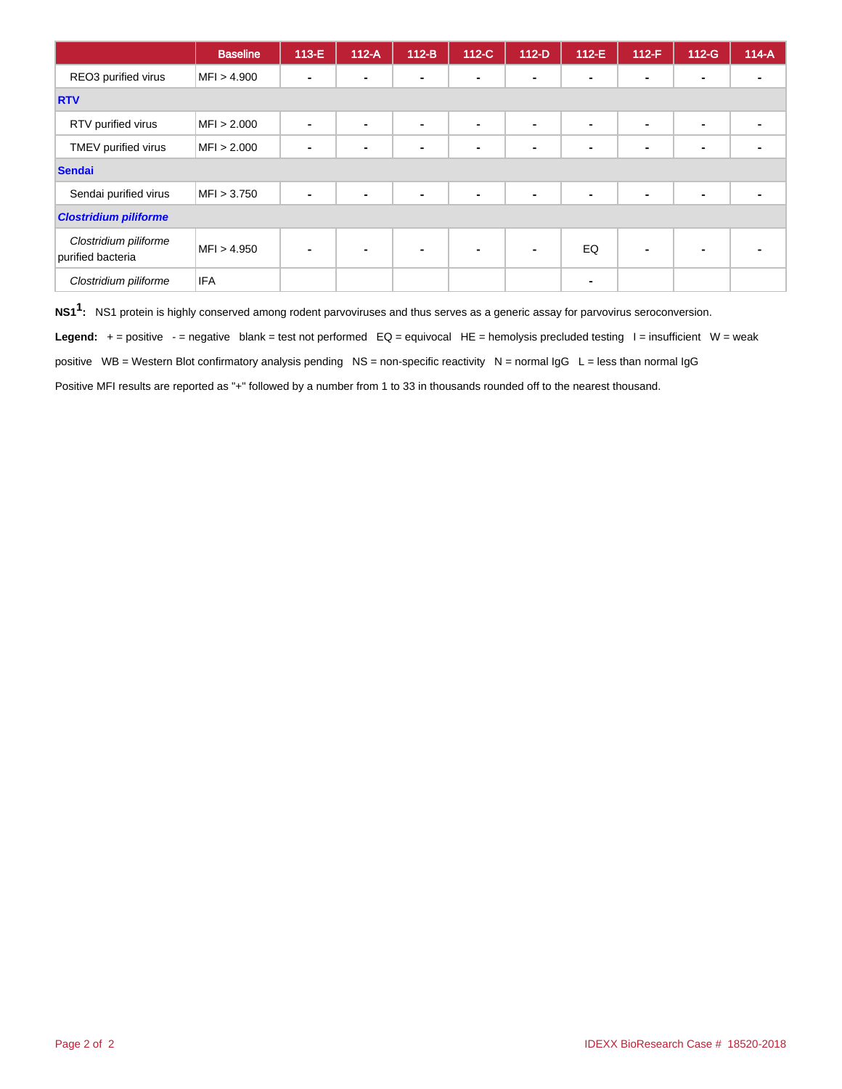|                                            | <b>Baseline</b> | $113-E$ | $112-A$ | $112-B$        | $112-C$        | $112-D$        | $112-E$        | $112-F$        | $112-G$        | $114-A$ |
|--------------------------------------------|-----------------|---------|---------|----------------|----------------|----------------|----------------|----------------|----------------|---------|
| REO3 purified virus                        | MFI > 4.900     |         | -       | $\blacksquare$ | $\blacksquare$ | $\blacksquare$ | $\blacksquare$ | $\blacksquare$ |                |         |
| <b>RTV</b>                                 |                 |         |         |                |                |                |                |                |                |         |
| RTV purified virus                         | MFI > 2.000     |         | -       | $\blacksquare$ | $\blacksquare$ | $\blacksquare$ | $\blacksquare$ | $\blacksquare$ | $\blacksquare$ |         |
| TMEV purified virus                        | MFI > 2.000     |         |         | ۰              | $\blacksquare$ |                | $\sim$         | $\blacksquare$ |                |         |
| <b>Sendai</b>                              |                 |         |         |                |                |                |                |                |                |         |
| Sendai purified virus                      | MFI > 3.750     |         |         | $\blacksquare$ | $\blacksquare$ | $\blacksquare$ | $\blacksquare$ | $\blacksquare$ |                |         |
| <b>Clostridium piliforme</b>               |                 |         |         |                |                |                |                |                |                |         |
| Clostridium piliforme<br>purified bacteria | MFI > 4.950     |         |         | $\blacksquare$ | $\blacksquare$ |                | EQ             | $\blacksquare$ |                |         |
| Clostridium piliforme                      | <b>IFA</b>      |         |         |                |                |                | $\blacksquare$ |                |                |         |

**NS11 :** NS1 protein is highly conserved among rodent parvoviruses and thus serves as a generic assay for parvovirus seroconversion.

Legend: + = positive - = negative blank = test not performed EQ = equivocal HE = hemolysis precluded testing l = insufficient W = weak

positive  $WB = Western Blot confirmatory analysis pending NS = non-specific reactivity  $N = normal IgG L = less than normal IgG$$ 

Positive MFI results are reported as "+" followed by a number from 1 to 33 in thousands rounded off to the nearest thousand.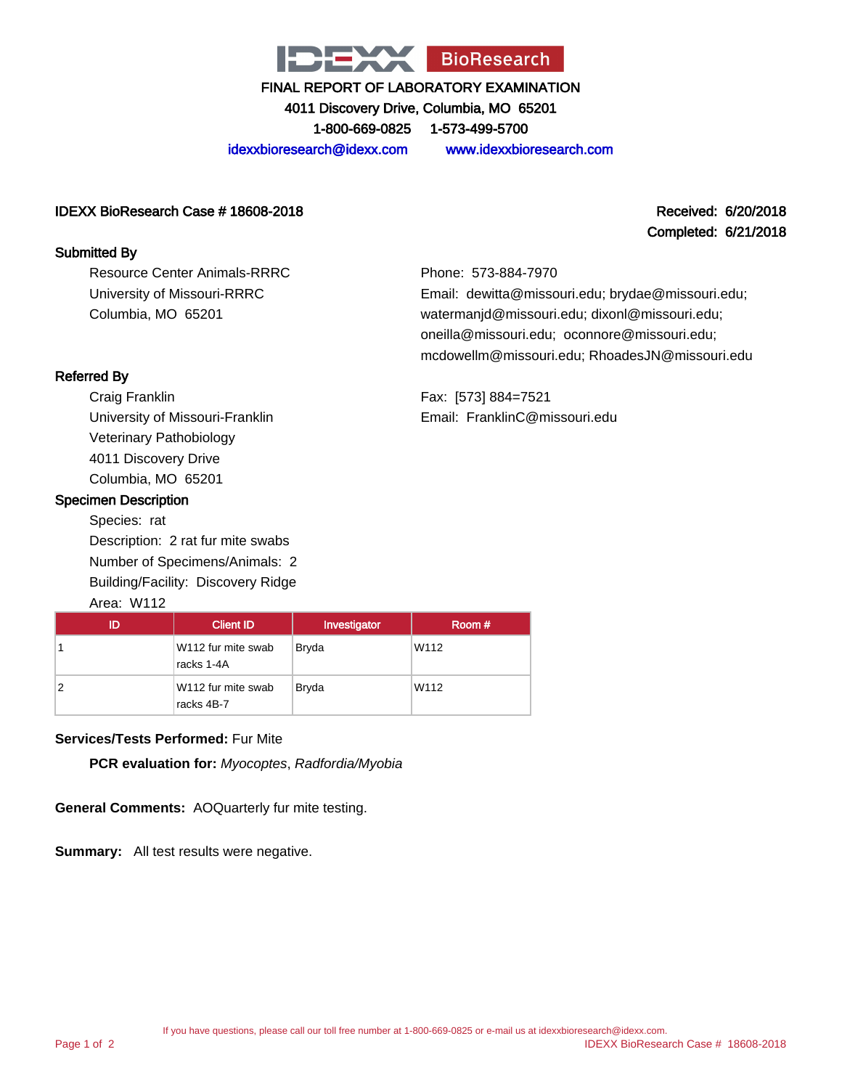

4011 Discovery Drive, Columbia, MO 65201

1-800-669-0825 1-573-499-5700

idexxbioresearch@idexx.com www.idexxbioresearch.com

#### IDEXX BioResearch Case # 18608-2018 Received: 6/20/2018

#### Submitted By

Resource Center Animals-RRRC University of Missouri-RRRC Columbia, MO 65201

## Completed: 6/21/2018

Phone: 573-884-7970 Email: dewitta@missouri.edu; brydae@missouri.edu; watermanjd@missouri.edu; dixonl@missouri.edu; oneilla@missouri.edu; oconnore@missouri.edu; mcdowellm@missouri.edu; RhoadesJN@missouri.edu

Fax: [573] 884=7521 Email: FranklinC@missouri.edu

## Referred By

Craig Franklin University of Missouri-Franklin Veterinary Pathobiology 4011 Discovery Drive Columbia, MO 65201

## Specimen Description

Species: rat Description: 2 rat fur mite swabs Number of Specimens/Animals: 2 Building/Facility: Discovery Ridge

## Area: W112

|   | <b>Client ID</b>                 | Investigator | Room # |
|---|----------------------------------|--------------|--------|
|   | W112 fur mite swab<br>racks 1-4A | <b>Bryda</b> | W112   |
| 2 | W112 fur mite swab<br>racks 4B-7 | <b>Bryda</b> | W112   |

#### **Services/Tests Performed:** Fur Mite

**PCR evaluation for:** Myocoptes, Radfordia/Myobia

**General Comments:** AOQuarterly fur mite testing.

**Summary:** All test results were negative.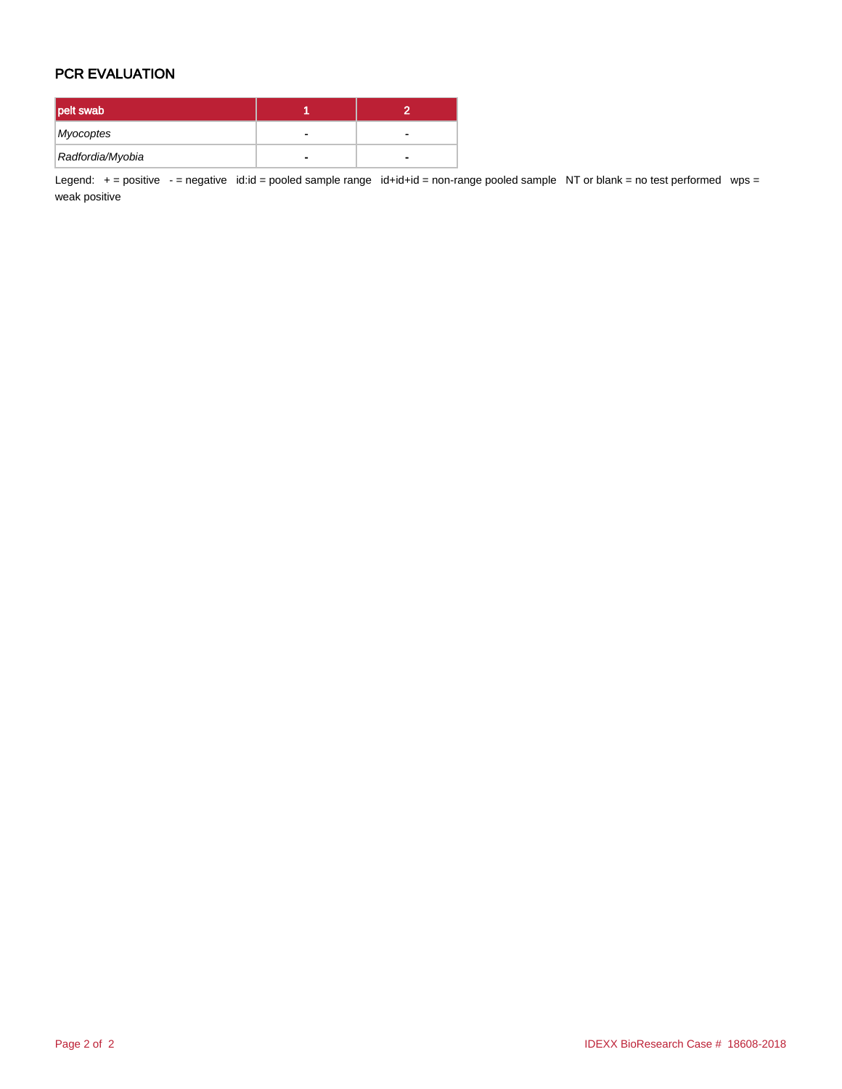## PCR EVALUATION

| pelt swab        |  |
|------------------|--|
| Myocoptes        |  |
| Radfordia/Myobia |  |

Legend: + = positive - = negative id:id = pooled sample range id+id+id = non-range pooled sample NT or blank = no test performed wps = weak positive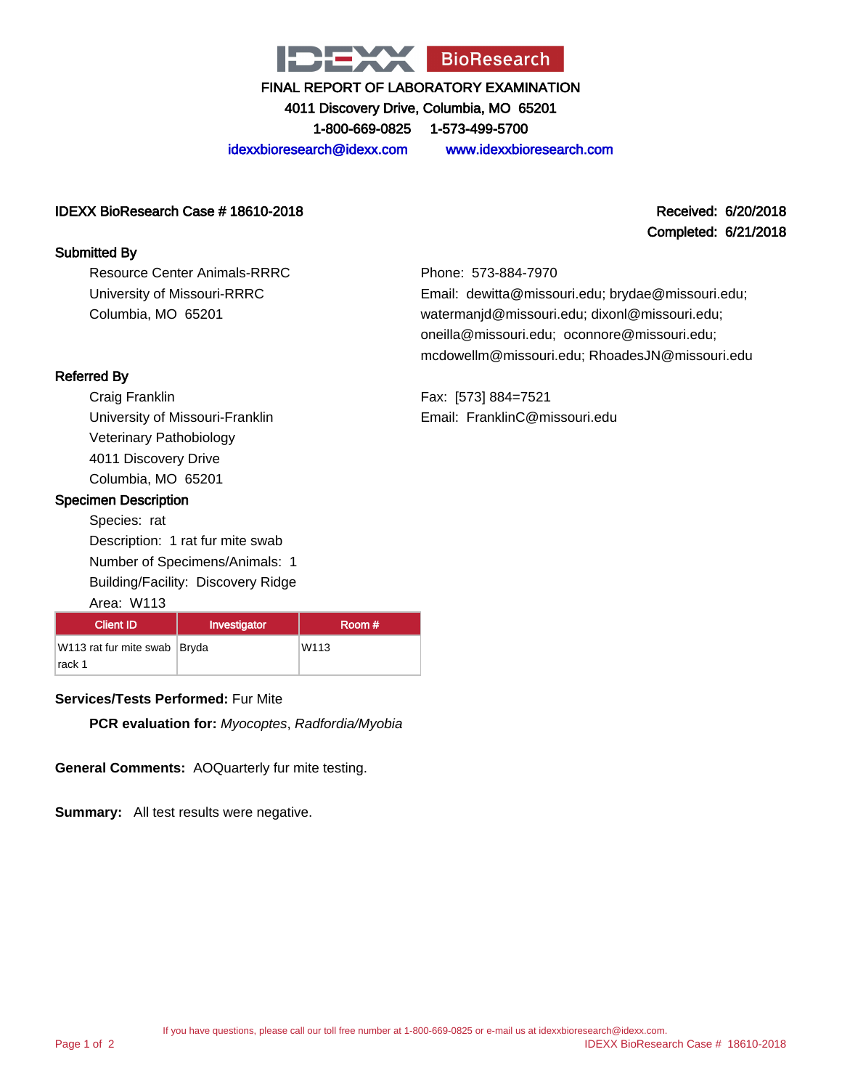

4011 Discovery Drive, Columbia, MO 65201 1-800-669-0825 1-573-499-5700

idexxbioresearch@idexx.com www.idexxbioresearch.com

### IDEXX BioResearch Case # 18610-2018 Received: 6/20/2018

#### Submitted By

Resource Center Animals-RRRC University of Missouri-RRRC Columbia, MO 65201

## Completed: 6/21/2018

Phone: 573-884-7970 Email: dewitta@missouri.edu; brydae@missouri.edu; watermanjd@missouri.edu; dixonl@missouri.edu; oneilla@missouri.edu; oconnore@missouri.edu; mcdowellm@missouri.edu; RhoadesJN@missouri.edu

Fax: [573] 884=7521 Email: FranklinC@missouri.edu

## Referred By

Craig Franklin University of Missouri-Franklin Veterinary Pathobiology 4011 Discovery Drive Columbia, MO 65201

### Specimen Description

Species: rat Description: 1 rat fur mite swab Number of Specimens/Animals: 1 Building/Facility: Discovery Ridge

#### Area: W113

| <b>Client ID</b>             | Investigator | Room #           |
|------------------------------|--------------|------------------|
| W113 rat fur mite swab Bryda |              | W <sub>113</sub> |
| rack 1                       |              |                  |

## **Services/Tests Performed:** Fur Mite

**PCR evaluation for:** Myocoptes, Radfordia/Myobia

**General Comments:** AOQuarterly fur mite testing.

**Summary:** All test results were negative.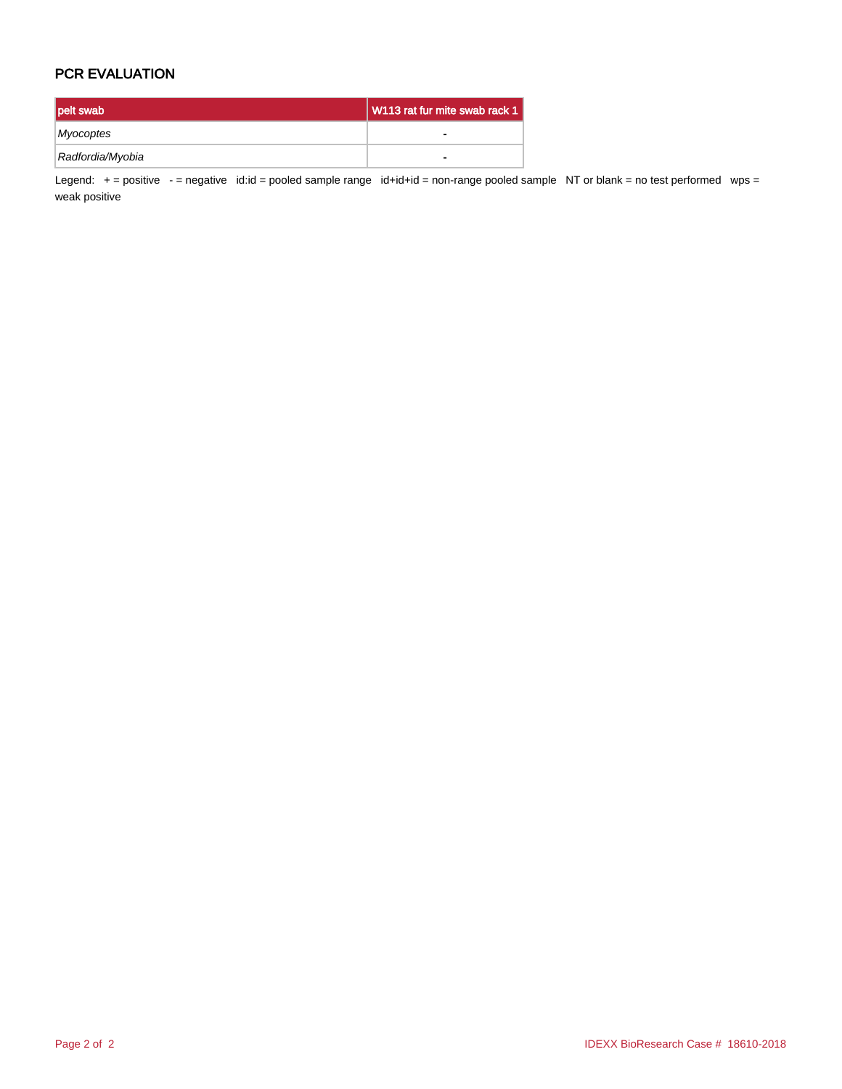## PCR EVALUATION

| pelt swab        | V113 rat fur mite swab rack 1 |
|------------------|-------------------------------|
| Myocoptes        |                               |
| Radfordia/Myobia | $\blacksquare$                |

Legend: + = positive - = negative id:id = pooled sample range id+id+id = non-range pooled sample NT or blank = no test performed wps = weak positive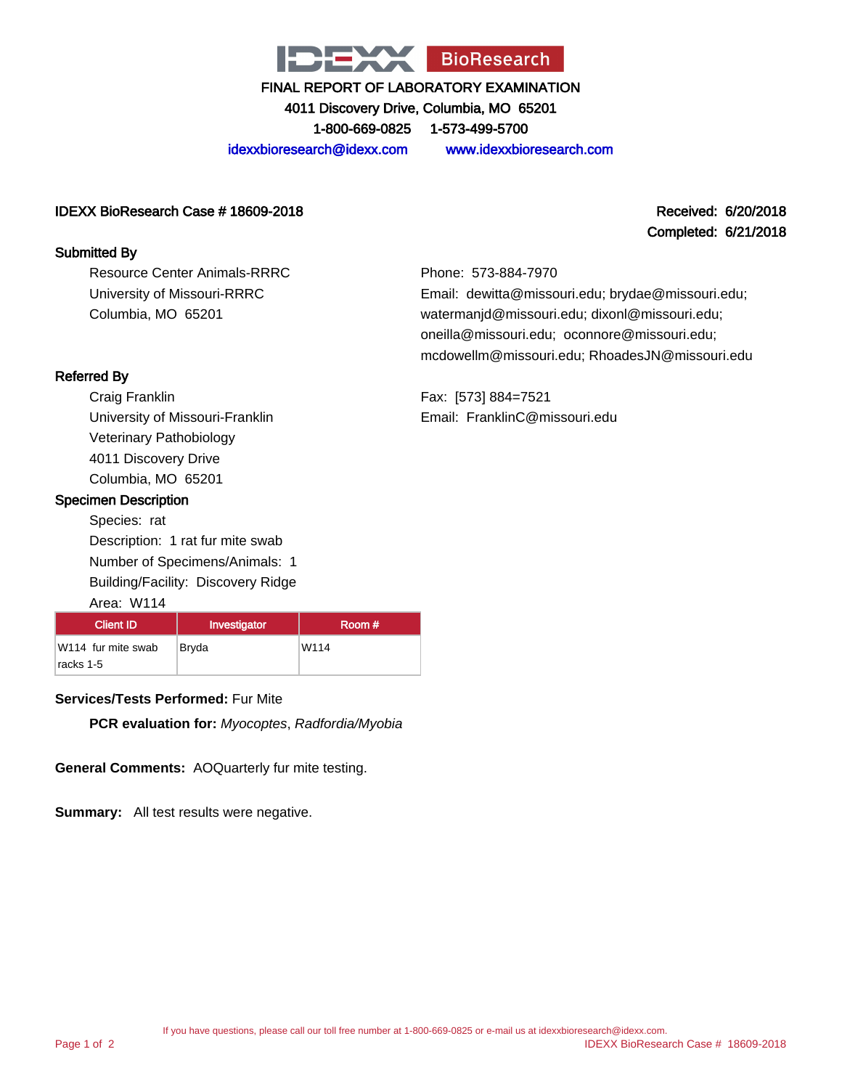

4011 Discovery Drive, Columbia, MO 65201

1-800-669-0825 1-573-499-5700

idexxbioresearch@idexx.com www.idexxbioresearch.com

#### IDEXX BioResearch Case # 18609-2018 Received: 6/20/2018

#### Submitted By

Resource Center Animals-RRRC University of Missouri-RRRC Columbia, MO 65201

## Completed: 6/21/2018

Phone: 573-884-7970 Email: dewitta@missouri.edu; brydae@missouri.edu; watermanjd@missouri.edu; dixonl@missouri.edu; oneilla@missouri.edu; oconnore@missouri.edu; mcdowellm@missouri.edu; RhoadesJN@missouri.edu

Fax: [573] 884=7521 Email: FranklinC@missouri.edu

### Referred By

Craig Franklin University of Missouri-Franklin Veterinary Pathobiology 4011 Discovery Drive Columbia, MO 65201

### Specimen Description

Species: rat Description: 1 rat fur mite swab Number of Specimens/Animals: 1 Building/Facility: Discovery Ridge

#### Area: W114

| <b>Client ID</b>                | Investigator | Room # |
|---------------------------------|--------------|--------|
| W114 fur mite swab<br>racks 1-5 | Bryda        | W114   |

## **Services/Tests Performed:** Fur Mite

**PCR evaluation for:** Myocoptes, Radfordia/Myobia

**General Comments:** AOQuarterly fur mite testing.

**Summary:** All test results were negative.